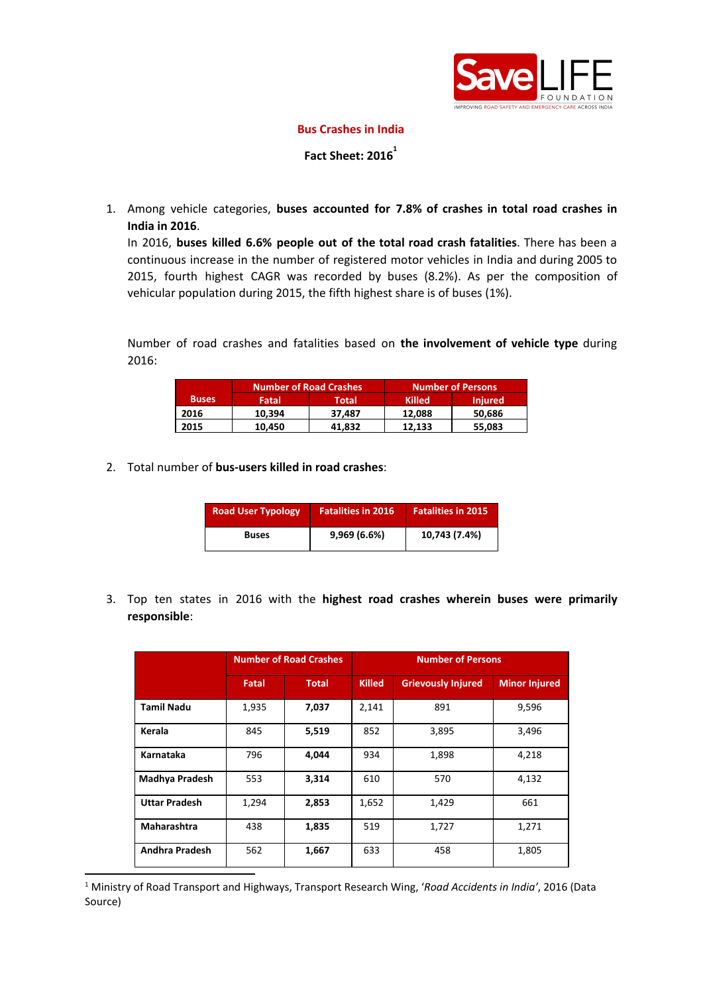

## **Bus Crashes in India**

## **Fact Sheet: 2016 1**

1. Among vehicle categories, **buses accounted for 7.8% of crashes in total road crashes in India in 2016**.

In 2016, **buses killed 6.6% people out of the total road crash fatalities**. There has been a continuous increase in the number of registered motor vehicles in India and during 2005 to 2015, fourth highest CAGR was recorded by buses (8.2%). As per the composition of vehicular population during 2015, the fifth highest share is of buses (1%).

Number of road crashes and fatalities based on **the involvement of vehicle type** during 2016:

|              | <b>Number of Road Crashes</b> |        | <b>Number of Persons</b> |                |
|--------------|-------------------------------|--------|--------------------------|----------------|
| <b>Buses</b> | Fatal                         | Total  | <b>Killed</b>            | <b>Injured</b> |
| 2016         | 10,394                        | 37.487 | 12.088                   | 50.686         |
| 2015         | 10.450                        | 41.832 | 12.133                   | 55,083         |

2. Total number of **bus-users killed in road crashes**:

| <b>Road User Typology</b> | <b>Fatalities in 2016</b> | <b>Fatalities in 2015</b> |
|---------------------------|---------------------------|---------------------------|
| <b>Buses</b>              | 9,969 (6.6%)              | 10,743 (7.4%)             |

3. Top ten states in 2016 with the **highest road crashes wherein buses were primarily responsible**:

|                      | <b>Number of Road Crashes</b> |              | <b>Number of Persons</b> |                           |                      |  |
|----------------------|-------------------------------|--------------|--------------------------|---------------------------|----------------------|--|
|                      | Fatal                         | <b>Total</b> | <b>Killed</b>            | <b>Grievously Injured</b> | <b>Minor Injured</b> |  |
| <b>Tamil Nadu</b>    | 1,935                         | 7,037        | 2,141                    | 891                       | 9,596                |  |
| Kerala               | 845                           | 5,519        | 852                      | 3,895                     | 3,496                |  |
| Karnataka            | 796                           | 4,044        | 934                      | 1,898                     | 4,218                |  |
| Madhya Pradesh       | 553                           | 3,314        | 610                      | 570                       | 4,132                |  |
| <b>Uttar Pradesh</b> | 1,294                         | 2,853        | 1,652                    | 1,429                     | 661                  |  |
| Maharashtra          | 438                           | 1,835        | 519                      | 1,727                     | 1,271                |  |
| Andhra Pradesh       | 562                           | 1,667        | 633                      | 458                       | 1,805                |  |

<sup>1</sup> Ministry of Road Transport and Highways, Transport Research Wing, '*Road Accidents in India'*, 2016 (Data Source)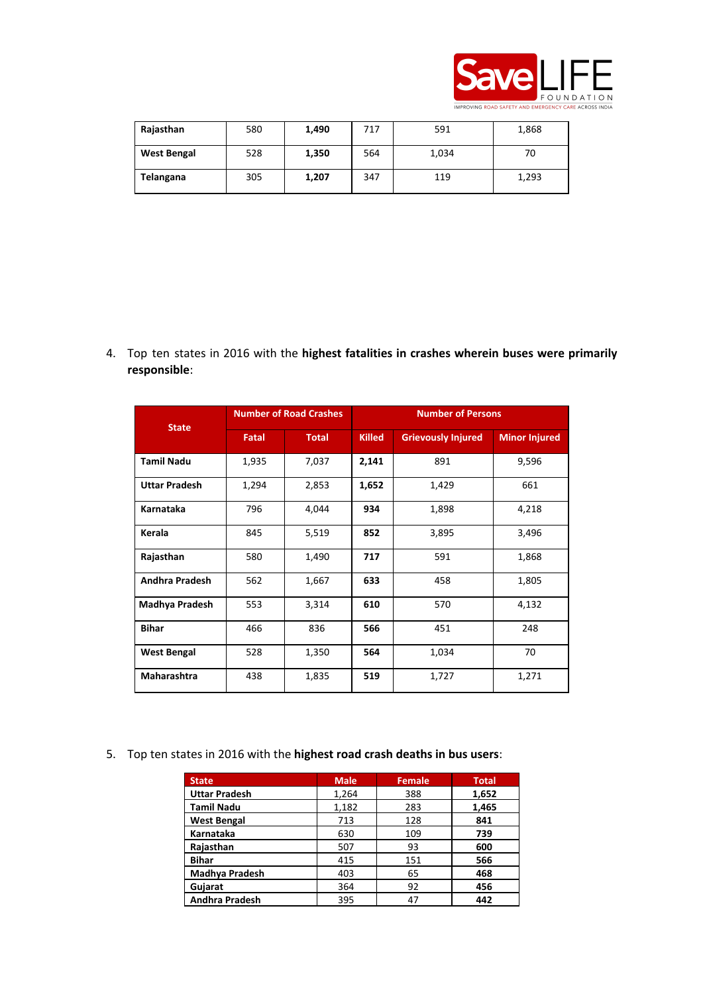

| Rajasthan          | 580 | 1,490 | 717 | 591   | 1,868 |
|--------------------|-----|-------|-----|-------|-------|
| <b>West Bengal</b> | 528 | 1,350 | 564 | 1,034 | 70    |
| Telangana          | 305 | 1,207 | 347 | 119   | 1,293 |

4. Top ten states in 2016 with the **highest fatalities in crashes wherein buses were primarily responsible**:

| <b>State</b>         | <b>Number of Road Crashes</b> |              | <b>Number of Persons</b> |                           |                      |
|----------------------|-------------------------------|--------------|--------------------------|---------------------------|----------------------|
|                      | Fatal                         | <b>Total</b> | <b>Killed</b>            | <b>Grievously Injured</b> | <b>Minor Injured</b> |
| <b>Tamil Nadu</b>    | 1,935                         | 7,037        | 2,141                    | 891                       | 9,596                |
| <b>Uttar Pradesh</b> | 1,294                         | 2,853        | 1,652                    | 1,429                     | 661                  |
| Karnataka            | 796                           | 4,044        | 934                      | 1,898                     | 4,218                |
| Kerala               | 845                           | 5,519        | 852                      | 3,895                     | 3,496                |
| Rajasthan            | 580                           | 1,490        | 717                      | 591                       | 1,868                |
| Andhra Pradesh       | 562                           | 1,667        | 633                      | 458                       | 1,805                |
| Madhya Pradesh       | 553                           | 3,314        | 610                      | 570                       | 4,132                |
| <b>Bihar</b>         | 466                           | 836          | 566                      | 451                       | 248                  |
| <b>West Bengal</b>   | 528                           | 1,350        | 564                      | 1,034                     | 70                   |
| Maharashtra          | 438                           | 1,835        | 519                      | 1,727                     | 1,271                |

5. Top ten states in 2016 with the **highest road crash deaths in bus users**:

| State,                | <b>Male</b> | <b>Female</b> | <b>Total</b> |
|-----------------------|-------------|---------------|--------------|
| <b>Uttar Pradesh</b>  | 1,264       | 388           | 1,652        |
| Tamil Nadu            | 1,182       | 283           | 1,465        |
| <b>West Bengal</b>    | 713         | 128           | 841          |
| Karnataka             | 630         | 109           | 739          |
| Rajasthan             | 507         | 93            | 600          |
| <b>Bihar</b>          | 415         | 151           | 566          |
| <b>Madhya Pradesh</b> | 403         | 65            | 468          |
| Gujarat               | 364         | 92            | 456          |
| <b>Andhra Pradesh</b> | 395         | 47            | 442          |